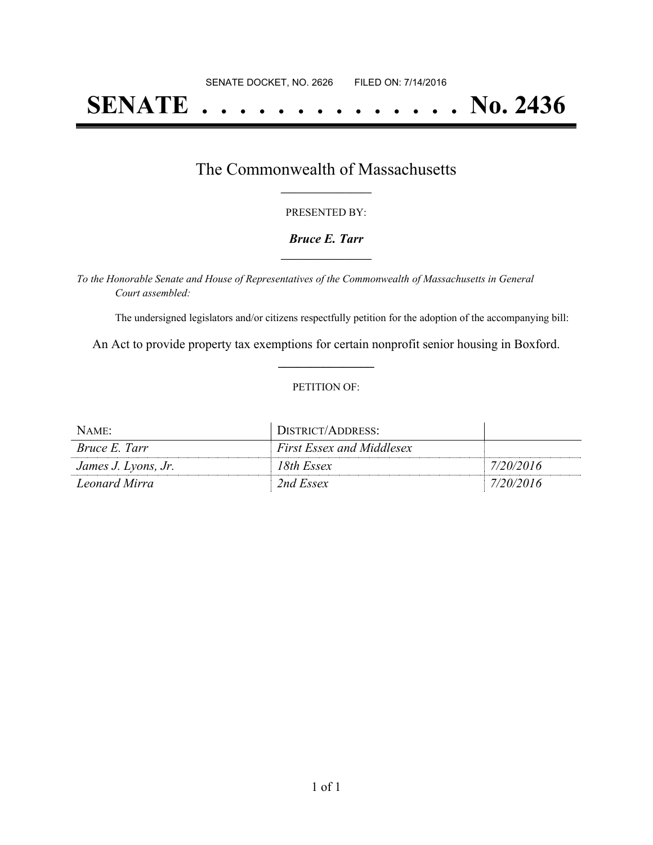# **SENATE . . . . . . . . . . . . . . No. 2436**

### The Commonwealth of Massachusetts **\_\_\_\_\_\_\_\_\_\_\_\_\_\_\_\_\_**

#### PRESENTED BY:

#### *Bruce E. Tarr* **\_\_\_\_\_\_\_\_\_\_\_\_\_\_\_\_\_**

*To the Honorable Senate and House of Representatives of the Commonwealth of Massachusetts in General Court assembled:*

The undersigned legislators and/or citizens respectfully petition for the adoption of the accompanying bill:

An Act to provide property tax exemptions for certain nonprofit senior housing in Boxford. **\_\_\_\_\_\_\_\_\_\_\_\_\_\_\_**

#### PETITION OF:

| NAME:                | DISTRICT/ADDRESS:                |           |
|----------------------|----------------------------------|-----------|
| <i>Bruce E. Tarr</i> | <b>First Essex and Middlesex</b> |           |
| James J. Lyons, Jr.  | 18th Essex                       | 7/20/2016 |
| Leonard Mirra        | 2nd Essex                        | 7/20/2016 |